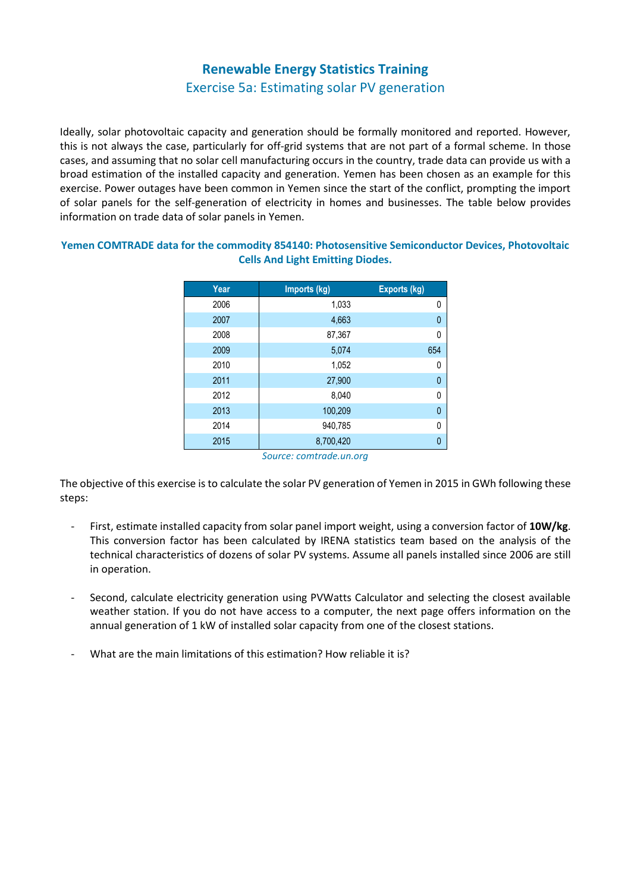## **Renewable Energy Statistics Training**

## Exercise 5a: Estimating solar PV generation

Ideally, solar photovoltaic capacity and generation should be formally monitored and reported. However, this is not always the case, particularly for off-grid systems that are not part of a formal scheme. In those cases, and assuming that no solar cell manufacturing occurs in the country, trade data can provide us with a broad estimation of the installed capacity and generation. Yemen has been chosen as an example for this exercise. Power outages have been common in Yemen since the start of the conflict, prompting the import of solar panels for the self-generation of electricity in homes and businesses. The table below provides information on trade data of solar panels in Yemen.

**Yemen COMTRADE data for the commodity 854140: Photosensitive Semiconductor Devices, Photovoltaic Cells And Light Emitting Diodes.**

| Year | Imports (kg)                                      | <b>Exports (kg)</b> |
|------|---------------------------------------------------|---------------------|
| 2006 | 1,033                                             | 0                   |
| 2007 | 4,663                                             | 0                   |
| 2008 | 87,367                                            | 0                   |
| 2009 | 5,074                                             | 654                 |
| 2010 | 1,052                                             | 0                   |
| 2011 | 27,900                                            | 0                   |
| 2012 | 8,040                                             | 0                   |
| 2013 | 100,209                                           | 0                   |
| 2014 | 940.785                                           | 0                   |
| 2015 | 8,700,420<br>$C_{\text{outcons}}$ comtrado un ora | 0                   |

*Source: comtrade.un.org*

The objective of this exercise is to calculate the solar PV generation of Yemen in 2015 in GWh following these steps:

- First, estimate installed capacity from solar panel import weight, using a conversion factor of **10W/kg**. This conversion factor has been calculated by IRENA statistics team based on the analysis of the technical characteristics of dozens of solar PV systems. Assume all panels installed since 2006 are still in operation.
- Second, calculate electricity generation using PVWatts Calculator and selecting the closest available weather station. If you do not have access to a computer, the next page offers information on the annual generation of 1 kW of installed solar capacity from one of the closest stations.
- What are the main limitations of this estimation? How reliable it is?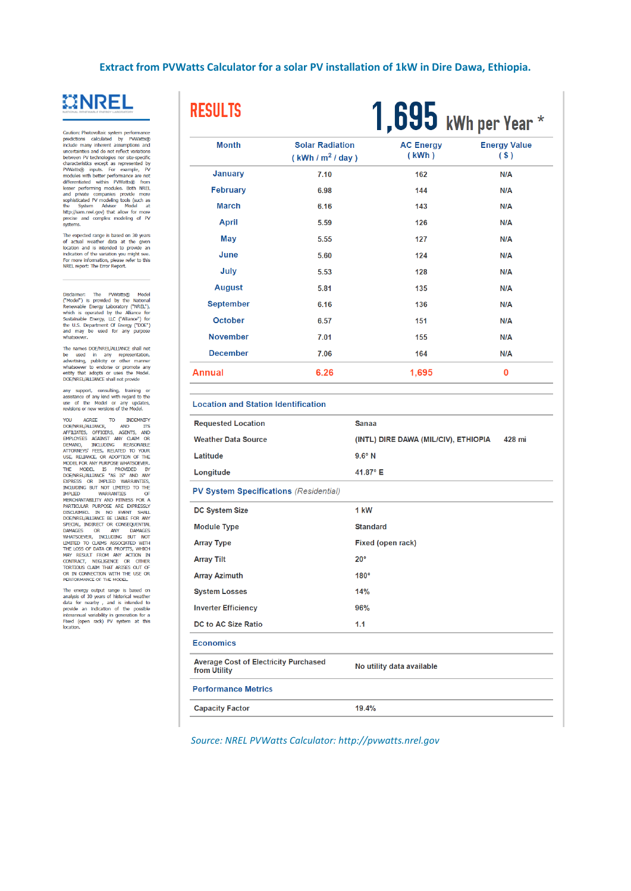Extract from PVWatts Calculator for a solar PV installation of 1kW in Dire Dawa, Ethiopia.



Caution: Photovoltaic system performance<br>predictions calculated by PWMatts@<br>include many inherent assumptions and<br>uncertainties and do not reflect variations<br>between PV technologies nor stee-specific<br>characteristics sexep systems.

The expected range is based on 30 years<br>of actual weather data at the given<br>location and is intended to provide an<br>indication of the variation you might see.<br>For more information, please refer to this<br>NREL report: The Err

Disclaimer: The PWMatts@ Model<br>("Model") is provided by the National Renewable Energy Laboratory ("NREL"),<br>which is operated by the Alliance for<br>Sustainable Energy, LLC ("Alliance") for<br>the U.S. Department Of Energy ("DOE" whatsoeve

The names DOE/NREL/ALLIANCE shall not The names bottom-text-particular to the used in any representation,<br>advertising, publicity or other manner whits<br>exercity endorse or promote any<br>entity that adopts or uses the Model.<br>DOE/NREL/ALLIANCE shall not provide

any support, consulting, training or<br>assistance of any kind with regard to the<br>use of the Model or any updates,<br>revisions or new versions of the Model.

revisions or new versions of the Model.<br>YOU AGREE TO INDEMNIFY AND NOTE AND NEW AFTEILATES, OFFICERS, AGENTS, AND DEPARTED TO YOUR USE RELATED TO YOUR VERSION OF THE MODEL TO REACT AND ONLY MANY CONSTRANT MODEL TO THE MODE DOE/INBEL/ALLIANCE BE LIABLE FOR ANY DAMAGES<br>SPECIAL, NIOIRECT OR CONSEQUENTIAL<br>DAMAGES OR ANY DAMAGES<br>LIMITED TO CLAIMS ASSOCIATED WITH<br>THE LOSS OF DATA OR PROFITS, WHICH THE LOSS OF DATA OR PROFITS, WHICH IN<br>CONTRACT, NE

The energy output range is based on analysis of 30 years of historical weather<br>data for nearby , and is intended to provide an indication of the possible<br>provide an indication of the possible<br>interannual variability in ge

| <b>RESULTS</b>                                               |                                                     | $1.695$ kWh per Year $*$  |                            |
|--------------------------------------------------------------|-----------------------------------------------------|---------------------------|----------------------------|
| <b>Month</b>                                                 | <b>Solar Radiation</b><br>(kWh/m <sup>2</sup> /day) | <b>AC Energy</b><br>(kWh) | <b>Energy Value</b><br>(S) |
| <b>January</b>                                               | 7.10                                                | 162                       | N/A                        |
| <b>February</b>                                              | 6.98                                                | 144                       | N/A                        |
| <b>March</b>                                                 | 6.16                                                | 143                       | N/A                        |
| <b>April</b>                                                 | 5.59                                                | 126                       | N/A                        |
| <b>May</b>                                                   | 5.55                                                | 127                       | N/A                        |
| June                                                         | 5.60                                                | 124                       | N/A                        |
| July                                                         | 5.53                                                | 128                       | N/A                        |
| <b>August</b>                                                | 5.81                                                | 135                       | N/A                        |
| <b>September</b>                                             | 6.16                                                | 136                       | N/A                        |
| <b>October</b>                                               | 6.57                                                | 151                       | N/A                        |
| <b>November</b>                                              | 7.01                                                | 155                       | N/A                        |
| <b>December</b>                                              | 7.06                                                | 164                       | N/A                        |
| Annual                                                       | 6.26                                                | 1,695                     | 0                          |
| <b>Location and Station Identification</b>                   |                                                     |                           |                            |
| <b>Requested Location</b>                                    | <b>Sanaa</b>                                        |                           |                            |
| <b>Weather Data Source</b>                                   | (INTL) DIRE DAWA (MIL/CIV), ETHIOPIA<br>428 mi      |                           |                            |
| Latitude                                                     |                                                     | $9.6^\circ$ N             |                            |
| Longitude                                                    | 41.87° E                                            |                           |                            |
| <b>PV System Specifications (Residential)</b>                |                                                     |                           |                            |
| DC System Size                                               | 1 kW                                                |                           |                            |
| <b>Module Type</b>                                           | <b>Standard</b>                                     |                           |                            |
| <b>Array Type</b>                                            |                                                     | Fixed (open rack)         |                            |
| <b>Array Tilt</b>                                            | $20^{\circ}$                                        |                           |                            |
| <b>Array Azimuth</b>                                         | $180^\circ$                                         |                           |                            |
| <b>System Losses</b>                                         | 14%                                                 |                           |                            |
| <b>Inverter Efficiency</b>                                   | 96%                                                 |                           |                            |
| <b>DC to AC Size Ratio</b>                                   | 1.1                                                 |                           |                            |
| <b>Economics</b>                                             |                                                     |                           |                            |
| <b>Average Cost of Electricity Purchased</b><br>from Utility |                                                     | No utility data available |                            |
| <b>Performance Metrics</b>                                   |                                                     |                           |                            |
|                                                              |                                                     |                           |                            |

**Capacity Factor** 

Source: NREL PVWatts Calculator: http://pvwatts.nrel.gov

19.4%